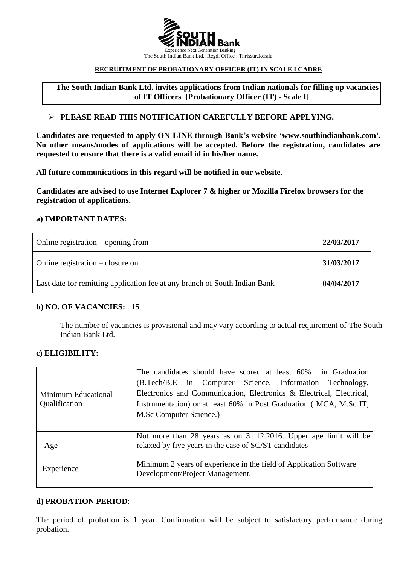

#### *0BU***RECRUITMENT OF PROBATIONARY OFFICER (IT) IN SCALE I CADRE**

The South Indian Bank Ltd. invites applications from Indian nationals for filling up vacancies **of IT Officers [Probationary Officer (IT) - Scale I]**

### **PLEASE READ THIS NOTIFICATION CAREFULLY BEFORE APPLYING.**

**Candidates are requested to apply ON-LINE through Bank's website 'www.southindianbank.com'. No other means/modes of applications will be accepted. Before the registration, candidates are requested to ensure that there is a valid email id in his/her name.**

**All future communications in this regard will be notified in our website.**

**Candidates are advised to use Internet Explorer 7 & higher or Mozilla Firefox browsers for the registration of applications.**

### **a) IMPORTANT DATES:**

| Online registration $-$ opening from                                       | 22/03/2017 |
|----------------------------------------------------------------------------|------------|
| Online registration – closure on                                           | 31/03/2017 |
| Last date for remitting application fee at any branch of South Indian Bank | 04/04/2017 |

### **b) NO. OF VACANCIES: 15**

- The number of vacancies is provisional and may vary according to actual requirement of The South Indian Bank Ltd.

#### **c) ELIGIBILITY:**

| Minimum Educational<br>Qualification | The candidates should have scored at least 60% in Graduation         |  |
|--------------------------------------|----------------------------------------------------------------------|--|
|                                      | (B.Tech/B.E in Computer Science, Information Technology,             |  |
|                                      | Electronics and Communication, Electronics & Electrical, Electrical, |  |
|                                      | Instrumentation) or at least 60% in Post Graduation (MCA, M.Sc IT,   |  |
|                                      | M.Sc Computer Science.)                                              |  |
|                                      |                                                                      |  |
|                                      | Not more than 28 years as on 31.12.2016. Upper age limit will be     |  |
| Age                                  | relaxed by five years in the case of SC/ST candidates                |  |
|                                      |                                                                      |  |
| Experience                           | Minimum 2 years of experience in the field of Application Software   |  |
|                                      | Development/Project Management.                                      |  |
|                                      |                                                                      |  |

#### **d) PROBATION PERIOD**:

The period of probation is 1 year. Confirmation will be subject to satisfactory performance during probation.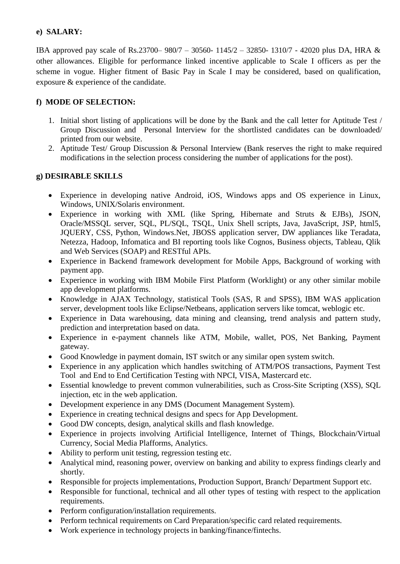## **e) SALARY:**

IBA approved pay scale of Rs.23700– 980/7 – 30560- 1145/2 – 32850- 1310/7 - 42020 plus DA, HRA & other allowances. Eligible for performance linked incentive applicable to Scale I officers as per the scheme in vogue. Higher fitment of Basic Pay in Scale I may be considered, based on qualification, exposure & experience of the candidate.

# **f) MODE OF SELECTION:**

- 1. Initial short listing of applications will be done by the Bank and the call letter for Aptitude Test / Group Discussion and Personal Interview for the shortlisted candidates can be downloaded/ printed from our website.
- 2. Aptitude Test/ Group Discussion & Personal Interview (Bank reserves the right to make required modifications in the selection process considering the number of applications for the post).

## **g) DESIRABLE SKILLS**

- Experience in developing native Android, iOS, Windows apps and OS experience in Linux, Windows, UNIX/Solaris environment.
- Experience in working with XML (like Spring, Hibernate and Struts & EJBs), JSON, Oracle/MSSQL server, SQL, PL/SQL, TSQL, Unix Shell scripts, Java, JavaScript, JSP, html5, JQUERY, CSS, Python, Windows.Net, JBOSS application server, DW appliances like Teradata, Netezza, Hadoop, Infomatica and BI reporting tools like Cognos, Business objects, Tableau, Qlik and Web Services (SOAP) and RESTful APIs.
- Experience in Backend framework development for Mobile Apps, Background of working with payment app.
- Experience in working with IBM Mobile First Platform (Worklight) or any other similar mobile app development platforms.
- Knowledge in AJAX Technology, statistical Tools (SAS, R and SPSS), IBM WAS application server, development tools like Eclipse/Netbeans, application servers like tomcat, weblogic etc.
- Experience in Data warehousing, data mining and cleansing, trend analysis and pattern study, prediction and interpretation based on data.
- Experience in e-payment channels like ATM, Mobile, wallet, POS, Net Banking, Payment gateway.
- Good Knowledge in payment domain, IST switch or any similar open system switch.
- Experience in any application which handles switching of ATM/POS transactions, Payment Test Tool and End to End Certification Testing with NPCI, VISA, Mastercard etc.
- Essential knowledge to prevent common vulnerabilities, such as Cross-Site Scripting (XSS), SQL injection, etc in the web application.
- Development experience in any DMS (Document Management System).
- Experience in creating technical designs and specs for App Development.
- Good DW concepts, design, analytical skills and flash knowledge.
- Experience in projects involving Artificial Intelligence, Internet of Things, Blockchain/Virtual Currency, Social Media Plafforms, Analytics.
- Ability to perform unit testing, regression testing etc.
- Analytical mind, reasoning power, overview on banking and ability to express findings clearly and shortly.
- Responsible for projects implementations, Production Support, Branch/ Department Support etc.
- Responsible for functional, technical and all other types of testing with respect to the application requirements.
- Perform configuration/installation requirements.
- Perform technical requirements on Card Preparation/specific card related requirements.
- Work experience in technology projects in banking/finance/fintechs.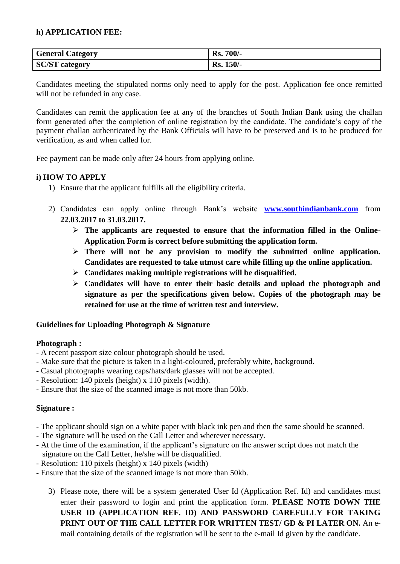## **h) APPLICATION FEE:**

| <b>General Category</b> | <b>Rs. 700/-</b> |
|-------------------------|------------------|
| <b>SC/ST</b> category   | <b>Rs. 150/-</b> |

Candidates meeting the stipulated norms only need to apply for the post. Application fee once remitted will not be refunded in any case.

Candidates can remit the application fee at any of the branches of South Indian Bank using the challan form generated after the completion of online registration by the candidate. The candidate's copy of the payment challan authenticated by the Bank Officials will have to be preserved and is to be produced for verification, as and when called for.

Fee payment can be made only after 24 hours from applying online.

## **i) HOW TO APPLY**

- 1) Ensure that the applicant fulfills all the eligibility criteria.
- 2) Candidates can apply online through Bank's website **www.southindianbank.com** from **22.03.2017 to 31.03.2017.**
	- **The applicants are requested to ensure that the information filled in the Online-Application Form is correct before submitting the application form.**
	- **There will not be any provision to modify the submitted online application. Candidates are requested to take utmost care while filling up the online application.**
	- **Candidates making multiple registrations will be disqualified.**
	- **Candidates will have to enter their basic details and upload the photograph and signature as per the specifications given below. Copies of the photograph may be retained for use at the time of written test and interview.**

## **Guidelines for Uploading Photograph & Signature**

### **Photograph :**

- **-** A recent passport size colour photograph should be used.
- **-** Make sure that the picture is taken in a light-coloured, preferably white, background.
- **-** Casual photographs wearing caps/hats/dark glasses will not be accepted.
- **-** Resolution: 140 pixels (height) x 110 pixels (width).
- **-** Ensure that the size of the scanned image is not more than 50kb.

### **Signature :**

- **-** The applicant should sign on a white paper with black ink pen and then the same should be scanned.
- **-** The signature will be used on the Call Letter and wherever necessary.
- **-** At the time of the examination, if the applicant's signature on the answer script does not match the signature on the Call Letter, he/she will be disqualified.
- **-** Resolution: 110 pixels (height) x 140 pixels (width)
- **-** Ensure that the size of the scanned image is not more than 50kb.
	- 3) Please note, there will be a system generated User Id (Application Ref. Id) and candidates must enter their password to login and print the application form. **PLEASE NOTE DOWN THE USER ID (APPLICATION REF. ID) AND PASSWORD CAREFULLY FOR TAKING PRINT OUT OF THE CALL LETTER FOR WRITTEN TEST/ GD & PI LATER ON.** An email containing details of the registration will be sent to the e-mail Id given by the candidate.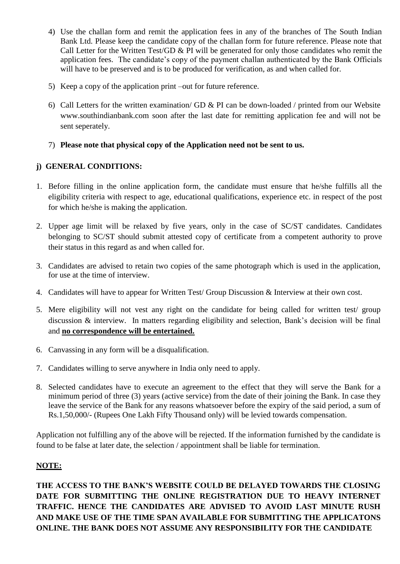- 4) Use the challan form and remit the application fees in any of the branches of The South Indian Bank Ltd. Please keep the candidate copy of the challan form for future reference. Please note that Call Letter for the Written Test/GD & PI will be generated for only those candidates who remit the application fees. The candidate's copy of the payment challan authenticated by the Bank Officials will have to be preserved and is to be produced for verification, as and when called for.
- 5) Keep a copy of the application print –out for future reference.
- 6) Call Letters for the written examination/ GD & PI can be down-loaded / printed from our Website [www.southindianbank.com](http://www.southindianbank.com/) soon after the last date for remitting application fee and will not be sent seperately.

# 7) **Please note that physical copy of the Application need not be sent to us.**

# **j) GENERAL CONDITIONS:**

- 1. Before filling in the online application form, the candidate must ensure that he/she fulfills all the eligibility criteria with respect to age, educational qualifications, experience etc. in respect of the post for which he/she is making the application.
- 2. Upper age limit will be relaxed by five years, only in the case of SC/ST candidates. Candidates belonging to SC/ST should submit attested copy of certificate from a competent authority to prove their status in this regard as and when called for.
- 3. Candidates are advised to retain two copies of the same photograph which is used in the application, for use at the time of interview.
- 4. Candidates will have to appear for Written Test/ Group Discussion & Interview at their own cost.
- 5. Mere eligibility will not vest any right on the candidate for being called for written test/ group discussion & interview. In matters regarding eligibility and selection, Bank's decision will be final and **no correspondence will be entertained.**
- 6. Canvassing in any form will be a disqualification.
- 7. Candidates willing to serve anywhere in India only need to apply.
- 8. Selected candidates have to execute an agreement to the effect that they will serve the Bank for a minimum period of three (3) years (active service) from the date of their joining the Bank. In case they leave the service of the Bank for any reasons whatsoever before the expiry of the said period, a sum of Rs.1,50,000/- (Rupees One Lakh Fifty Thousand only) will be levied towards compensation.

Application not fulfilling any of the above will be rejected. If the information furnished by the candidate is found to be false at later date, the selection / appointment shall be liable for termination.

## **NOTE:**

**THE ACCESS TO THE BANK'S WEBSITE COULD BE DELAYED TOWARDS THE CLOSING DATE FOR SUBMITTING THE ONLINE REGISTRATION DUE TO HEAVY INTERNET TRAFFIC. HENCE THE CANDIDATES ARE ADVISED TO AVOID LAST MINUTE RUSH AND MAKE USE OF THE TIME SPAN AVAILABLE FOR SUBMITTING THE APPLICATONS ONLINE. THE BANK DOES NOT ASSUME ANY RESPONSIBILITY FOR THE CANDIDATE**